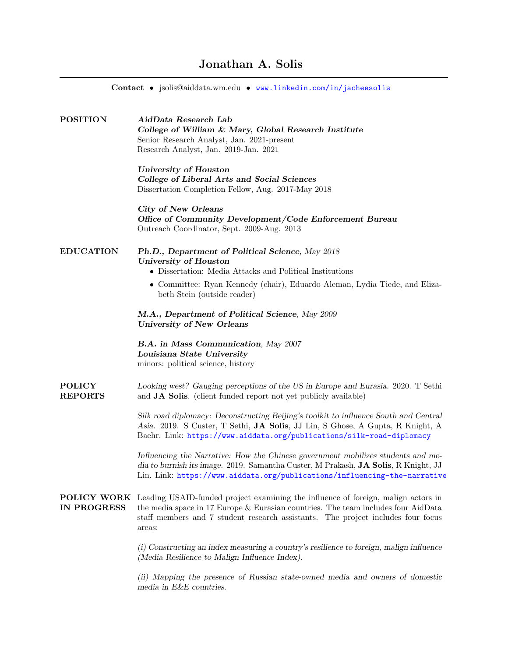| Contact • jsolis@aiddata.wm.edu • www.linkedin.com/in/jacheesolis |                                                                                                                                                                                                                                                                                           |  |
|-------------------------------------------------------------------|-------------------------------------------------------------------------------------------------------------------------------------------------------------------------------------------------------------------------------------------------------------------------------------------|--|
| <b>POSITION</b>                                                   | AidData Research Lab<br>College of William & Mary, Global Research Institute<br>Senior Research Analyst, Jan. 2021-present<br>Research Analyst, Jan. 2019-Jan. 2021                                                                                                                       |  |
|                                                                   | <b>University of Houston</b><br>College of Liberal Arts and Social Sciences<br>Dissertation Completion Fellow, Aug. 2017-May 2018                                                                                                                                                         |  |
|                                                                   | City of New Orleans<br>Office of Community Development/Code Enforcement Bureau<br>Outreach Coordinator, Sept. 2009-Aug. 2013                                                                                                                                                              |  |
| <b>EDUCATION</b>                                                  | Ph.D., Department of Political Science, May 2018<br><b>University of Houston</b><br>• Dissertation: Media Attacks and Political Institutions                                                                                                                                              |  |
|                                                                   | • Committee: Ryan Kennedy (chair), Eduardo Aleman, Lydia Tiede, and Eliza-<br>beth Stein (outside reader)                                                                                                                                                                                 |  |
|                                                                   | M.A., Department of Political Science, May 2009<br><b>University of New Orleans</b>                                                                                                                                                                                                       |  |
|                                                                   | B.A. in Mass Communication, May 2007<br>Louisiana State University<br>minors: political science, history                                                                                                                                                                                  |  |
| <b>POLICY</b><br><b>REPORTS</b>                                   | Looking west? Gauging perceptions of the US in Europe and Eurasia. 2020. T Sethi<br>and JA Solis. (client funded report not yet publicly available)                                                                                                                                       |  |
|                                                                   | Silk road diplomacy: Deconstructing Beijing's toolkit to influence South and Central<br>Asia. 2019. S Custer, T Sethi, JA Solis, JJ Lin, S Ghose, A Gupta, R Knight, A<br>Baehr. Link: https://www.aiddata.org/publications/silk-road-diplomacy                                           |  |
|                                                                   | Influencing the Narrative: How the Chinese government mobilizes students and me-<br>dia to burnish its image. 2019. Samantha Custer, M Prakash, JA Solis, R Knight, JJ<br>Lin. Link: https://www.aiddata.org/publications/influencing-the-narrative                                       |  |
| <b>IN PROGRESS</b>                                                | <b>POLICY WORK</b> Leading USAID-funded project examining the influence of foreign, malign actors in<br>the media space in 17 Europe $&$ Europian countries. The team includes four AidData<br>staff members and 7 student research assistants. The project includes four focus<br>areas: |  |
|                                                                   | (i) Constructing an index measuring a country's resilience to foreign, malign influence<br>(Media Resilience to Malign Influence Index).                                                                                                                                                  |  |
|                                                                   | (ii) Mapping the presence of Russian state-owned media and owners of domestic<br>media in E&E countries.                                                                                                                                                                                  |  |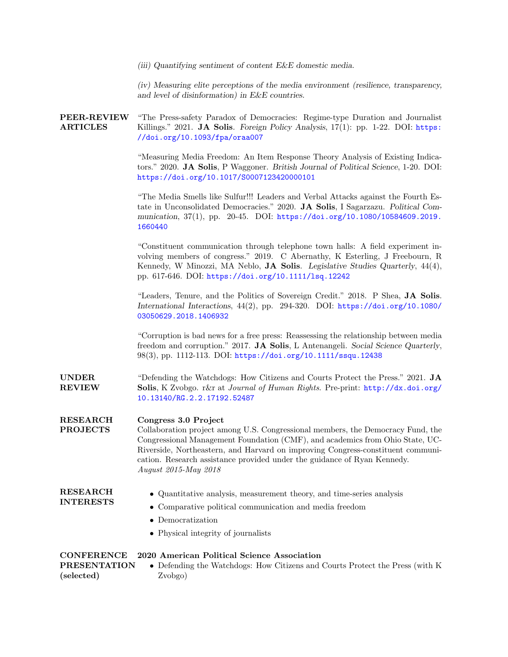(iii) Quantifying sentiment of content E&E domestic media.

(iv) Measuring elite perceptions of the media environment (resilience, transparency, and level of disinformation) in E&E countries.

PEER-REVIEW ARTICLES "The Press-safety Paradox of Democracies: Regime-type Duration and Journalist Killings." 2021. **JA Solis.** Foreign Policy Analysis, 17(1): pp. 1-22. DOI: [https:](https://doi.org/10.1093/fpa/oraa007) [//doi.org/10.1093/fpa/oraa007](https://doi.org/10.1093/fpa/oraa007)

> "Measuring Media Freedom: An Item Response Theory Analysis of Existing Indicators." 2020. JA Solis, P Waggoner. British Journal of Political Science, 1-20. DOI: <https://doi.org/10.1017/S0007123420000101>

> "The Media Smells like Sulfur!!! Leaders and Verbal Attacks against the Fourth Estate in Unconsolidated Democracies." 2020. JA Solis, I Sagarzazu. Political Communication, 37(1), pp. 20-45. DOI: [https://doi.org/10.1080/10584609.2019.](https://doi.org/10.1080/10584609.2019.1660440) [1660440](https://doi.org/10.1080/10584609.2019.1660440)

> "Constituent communication through telephone town halls: A field experiment involving members of congress." 2019. C Abernathy, K Esterling, J Freebourn, R Kennedy, W Minozzi, MA Neblo, JA Solis. Legislative Studies Quarterly, 44(4), pp. 617-646. DOI: <https://doi.org/10.1111/lsq.12242>

> "Leaders, Tenure, and the Politics of Sovereign Credit." 2018. P Shea, JA Solis. International Interactions, 44(2), pp. 294-320. DOI: [https://doi.org/10.1080/](https://doi.org/10.1080/03050629.2018.1406932) [03050629.2018.1406932](https://doi.org/10.1080/03050629.2018.1406932)

> "Corruption is bad news for a free press: Reassessing the relationship between media freedom and corruption." 2017. JA Solis, L Antenangeli. Social Science Quarterly, 98(3), pp. 1112-113. DOI: <https://doi.org/10.1111/ssqu.12438>

UNDER REVIEW "Defending the Watchdogs: How Citizens and Courts Protect the Press." 2021. JA Solis, K Zvobgo. r&r at Journal of Human Rights. Pre-print: [http://dx.doi.org/](http://dx.doi.org/10.13140/RG.2.2.17192.52487) [10.13140/RG.2.2.17192.52487](http://dx.doi.org/10.13140/RG.2.2.17192.52487)

## RESEARCH Congress 3.0 Project

PROJECTS Collaboration project among U.S. Congressional members, the Democracy Fund, the Congressional Management Foundation (CMF), and academics from Ohio State, UC-Riverside, Northeastern, and Harvard on improving Congress-constituent communication. Research assistance provided under the guidance of Ryan Kennedy. August 2015-May 2018

| <b>RESEARCH</b>  | • Quantitative analysis, measurement theory, and time-series analysis |
|------------------|-----------------------------------------------------------------------|
| <b>INTERESTS</b> |                                                                       |

- Comparative political communication and media freedom
- Democratization
- Physical integrity of journalists

|                     | <b>CONFERENCE</b> 2020 American Political Science Association                |
|---------------------|------------------------------------------------------------------------------|
| <b>PRESENTATION</b> | • Defending the Watchdogs: How Citizens and Courts Protect the Press (with K |
| (selected)          | Zvobgo)                                                                      |